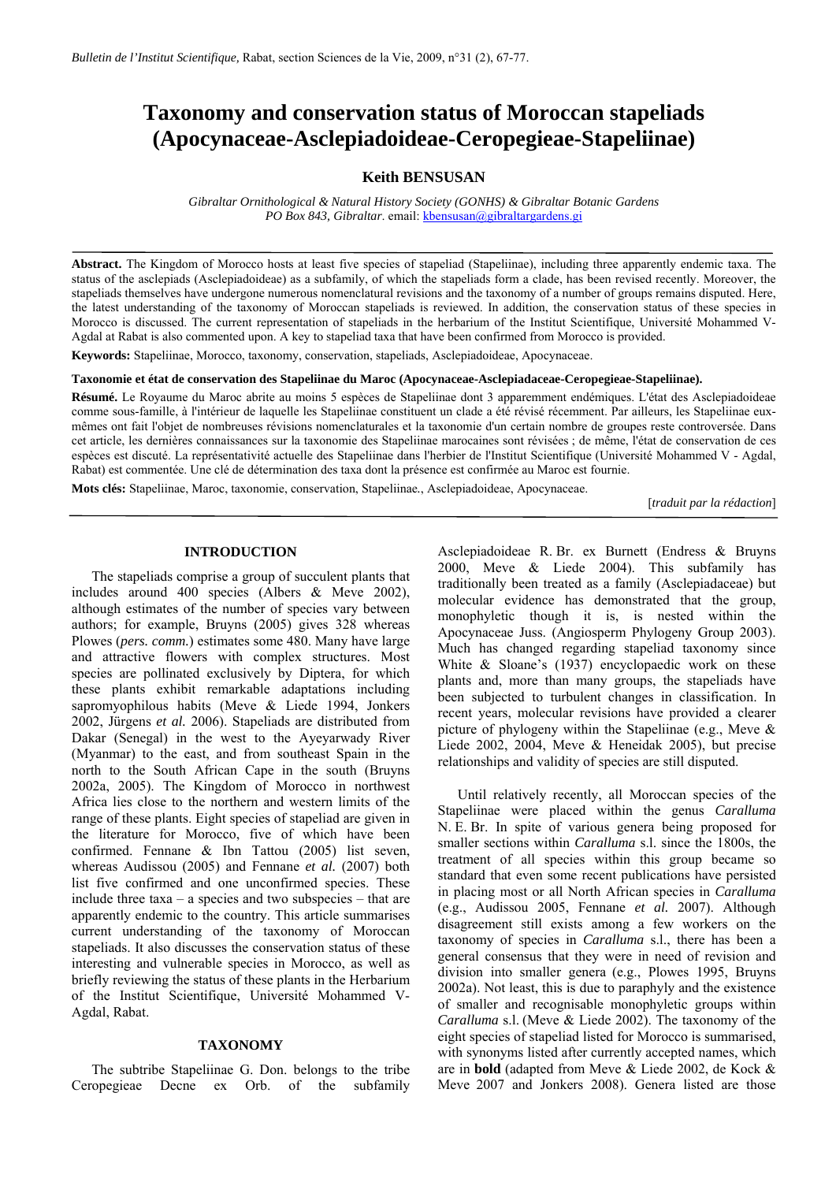# **Taxonomy and conservation status of Moroccan stapeliads (Apocynaceae-Asclepiadoideae-Ceropegieae-Stapeliinae)**

### **Keith BENSUSAN**

*Gibraltar Ornithological & Natural History Society (GONHS) & Gibraltar Botanic Gardens PO Box 843, Gibraltar.* email: **kbensusan@gibraltargardens.gi** 

**Abstract.** The Kingdom of Morocco hosts at least five species of stapeliad (Stapeliinae), including three apparently endemic taxa. The status of the asclepiads (Asclepiadoideae) as a subfamily, of which the stapeliads form a clade, has been revised recently. Moreover, the stapeliads themselves have undergone numerous nomenclatural revisions and the taxonomy of a number of groups remains disputed. Here, the latest understanding of the taxonomy of Moroccan stapeliads is reviewed. In addition, the conservation status of these species in Morocco is discussed. The current representation of stapeliads in the herbarium of the Institut Scientifique, Université Mohammed V-Agdal at Rabat is also commented upon. A key to stapeliad taxa that have been confirmed from Morocco is provided.

**Keywords:** Stapeliinae, Morocco, taxonomy, conservation, stapeliads, Asclepiadoideae, Apocynaceae.

**Taxonomie et état de conservation des Stapeliinae du Maroc (Apocynaceae-Asclepiadaceae-Ceropegieae-Stapeliinae).** 

**Résumé.** Le Royaume du Maroc abrite au moins 5 espèces de Stapeliinae dont 3 apparemment endémiques. L'état des Asclepiadoideae comme sous-famille, à l'intérieur de laquelle les Stapeliinae constituent un clade a été révisé récemment. Par ailleurs, les Stapeliinae euxmêmes ont fait l'objet de nombreuses révisions nomenclaturales et la taxonomie d'un certain nombre de groupes reste controversée. Dans cet article, les dernières connaissances sur la taxonomie des Stapeliinae marocaines sont révisées ; de même, l'état de conservation de ces espèces est discuté. La représentativité actuelle des Stapeliinae dans l'herbier de l'Institut Scientifique (Université Mohammed V - Agdal, Rabat) est commentée. Une clé de détermination des taxa dont la présence est confirmée au Maroc est fournie.

**Mots clés:** Stapeliinae, Maroc, taxonomie, conservation, Stapeliinae*.*, Asclepiadoideae, Apocynaceae.

[*traduit par la rédaction*]

### **INTRODUCTION**

The stapeliads comprise a group of succulent plants that includes around 400 species (Albers & Meve 2002), although estimates of the number of species vary between authors; for example, Bruyns (2005) gives 328 whereas Plowes (*pers. comm.*) estimates some 480. Many have large and attractive flowers with complex structures. Most species are pollinated exclusively by Diptera, for which these plants exhibit remarkable adaptations including sapromyophilous habits (Meve & Liede 1994, Jonkers 2002, Jürgens *et al.* 2006). Stapeliads are distributed from Dakar (Senegal) in the west to the Ayeyarwady River (Myanmar) to the east, and from southeast Spain in the north to the South African Cape in the south (Bruyns 2002a, 2005). The Kingdom of Morocco in northwest Africa lies close to the northern and western limits of the range of these plants. Eight species of stapeliad are given in the literature for Morocco, five of which have been confirmed. Fennane & Ibn Tattou (2005) list seven, whereas Audissou (2005) and Fennane *et al.* (2007) both list five confirmed and one unconfirmed species. These include three taxa – a species and two subspecies – that are apparently endemic to the country. This article summarises current understanding of the taxonomy of Moroccan stapeliads. It also discusses the conservation status of these interesting and vulnerable species in Morocco, as well as briefly reviewing the status of these plants in the Herbarium of the Institut Scientifique, Université Mohammed V-Agdal, Rabat.

#### **TAXONOMY**

The subtribe Stapeliinae G. Don. belongs to the tribe Ceropegieae Decne ex Orb. of the subfamily Asclepiadoideae R. Br. ex Burnett (Endress & Bruyns 2000, Meve & Liede 2004). This subfamily has traditionally been treated as a family (Asclepiadaceae) but molecular evidence has demonstrated that the group, monophyletic though it is, is nested within the Apocynaceae Juss. (Angiosperm Phylogeny Group 2003). Much has changed regarding stapeliad taxonomy since White & Sloane's (1937) encyclopaedic work on these plants and, more than many groups, the stapeliads have been subjected to turbulent changes in classification. In recent years, molecular revisions have provided a clearer picture of phylogeny within the Stapeliinae (e.g., Meve & Liede 2002, 2004, Meve & Heneidak 2005), but precise relationships and validity of species are still disputed.

Until relatively recently, all Moroccan species of the Stapeliinae were placed within the genus *Caralluma* N. E. Br. In spite of various genera being proposed for smaller sections within *Caralluma* s.l. since the 1800s, the treatment of all species within this group became so standard that even some recent publications have persisted in placing most or all North African species in *Caralluma* (e.g., Audissou 2005, Fennane *et al.* 2007). Although disagreement still exists among a few workers on the taxonomy of species in *Caralluma* s.l., there has been a general consensus that they were in need of revision and division into smaller genera (e.g., Plowes 1995, Bruyns 2002a). Not least, this is due to paraphyly and the existence of smaller and recognisable monophyletic groups within *Caralluma* s.l. (Meve & Liede 2002). The taxonomy of the eight species of stapeliad listed for Morocco is summarised, with synonyms listed after currently accepted names, which are in **bold** (adapted from Meve & Liede 2002, de Kock & Meve 2007 and Jonkers 2008). Genera listed are those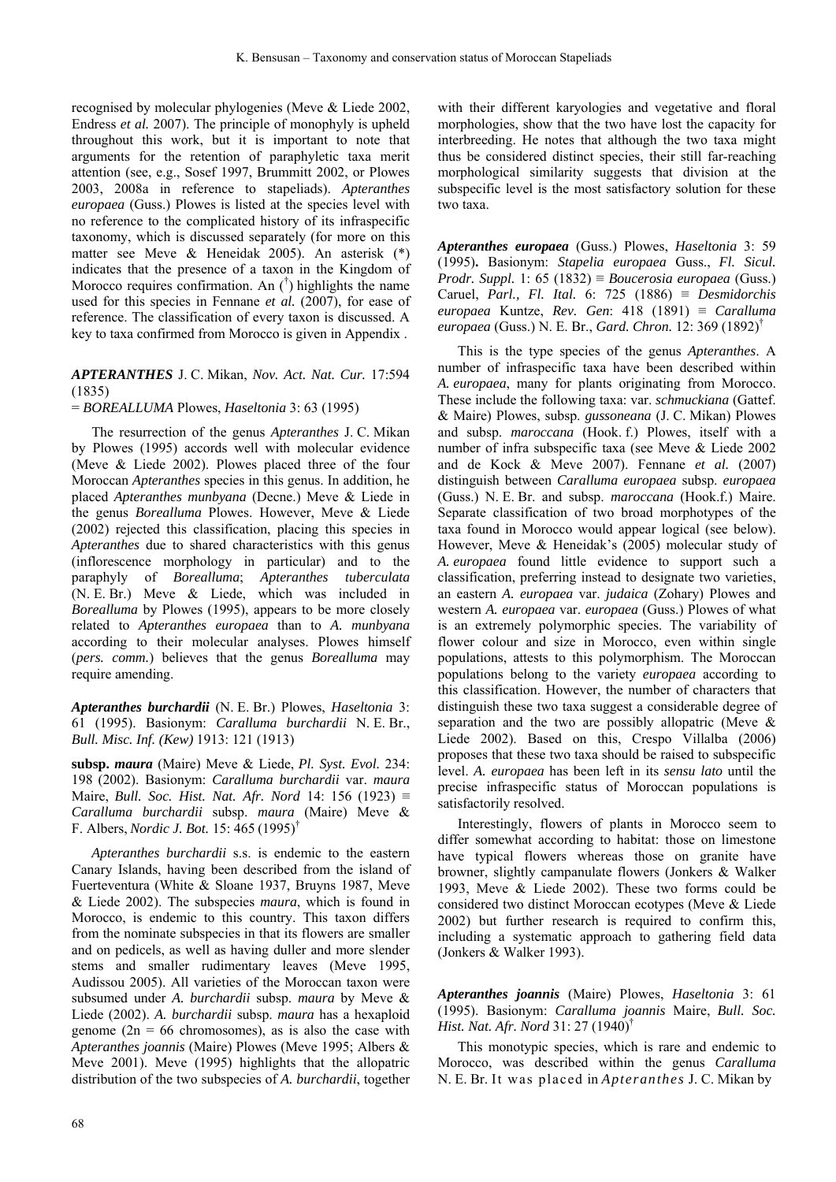recognised by molecular phylogenies (Meve & Liede 2002, Endress *et al.* 2007). The principle of monophyly is upheld throughout this work, but it is important to note that arguments for the retention of paraphyletic taxa merit attention (see, e.g., Sosef 1997, Brummitt 2002, or Plowes 2003, 2008a in reference to stapeliads). *Apteranthes europaea* (Guss.) Plowes is listed at the species level with no reference to the complicated history of its infraspecific taxonomy, which is discussed separately (for more on this matter see Meve & Heneidak 2005). An asterisk (\*) indicates that the presence of a taxon in the Kingdom of Morocco requires confirmation. An († ) highlights the name used for this species in Fennane *et al.* (2007), for ease of reference. The classification of every taxon is discussed. A key to taxa confirmed from Morocco is given in Appendix .

## *APTERANTHES* J. C. Mikan, *Nov. Act. Nat. Cur.* 17:594 (1835)

= *BOREALLUMA* Plowes, *Haseltonia* 3: 63 (1995)

The resurrection of the genus *Apteranthes* J. C. Mikan by Plowes (1995) accords well with molecular evidence (Meve & Liede 2002). Plowes placed three of the four Moroccan *Apteranthes* species in this genus. In addition, he placed *Apteranthes munbyana* (Decne.) Meve & Liede in the genus *Borealluma* Plowes. However, Meve & Liede (2002) rejected this classification, placing this species in *Apteranthes* due to shared characteristics with this genus (inflorescence morphology in particular) and to the paraphyly of *Borealluma*; *Apteranthes tuberculata* (N. E. Br.) Meve & Liede, which was included in *Borealluma* by Plowes (1995), appears to be more closely related to *Apteranthes europaea* than to *A. munbyana*  according to their molecular analyses. Plowes himself (*pers. comm.*) believes that the genus *Borealluma* may require amending.

*Apteranthes burchardii* (N. E. Br.) Plowes, *Haseltonia* 3: 61 (1995). Basionym: *Caralluma burchardii* N. E. Br., *Bull. Misc. Inf. (Kew)* 1913: 121 (1913)

**subsp.** *maura* (Maire) Meve & Liede, *Pl. Syst. Evol.* 234: 198 (2002). Basionym: *Caralluma burchardii* var. *maura* Maire, *Bull. Soc. Hist. Nat. Afr. Nord* 14: 156 (1923) ≡ *Caralluma burchardii* subsp. *maura* (Maire) Meve & F. Albers, *Nordic J. Bot.* 15: 465 (1995)†

*Apteranthes burchardii* s.s. is endemic to the eastern Canary Islands, having been described from the island of Fuerteventura (White & Sloane 1937, Bruyns 1987, Meve & Liede 2002). The subspecies *maura*, which is found in Morocco, is endemic to this country. This taxon differs from the nominate subspecies in that its flowers are smaller and on pedicels, as well as having duller and more slender stems and smaller rudimentary leaves (Meve 1995, Audissou 2005). All varieties of the Moroccan taxon were subsumed under *A. burchardii* subsp. *maura* by Meve & Liede (2002). *A. burchardii* subsp. *maura* has a hexaploid genome ( $2n = 66$  chromosomes), as is also the case with *Apteranthes joannis* (Maire) Plowes (Meve 1995; Albers & Meve 2001). Meve (1995) highlights that the allopatric distribution of the two subspecies of *A. burchardii*, together with their different karyologies and vegetative and floral morphologies, show that the two have lost the capacity for interbreeding. He notes that although the two taxa might thus be considered distinct species, their still far-reaching morphological similarity suggests that division at the subspecific level is the most satisfactory solution for these two taxa.

*Apteranthes europaea* (Guss.) Plowes, *Haseltonia* 3: 59 (1995)**.** Basionym: *Stapelia europaea* Guss., *Fl. Sicul. Prodr. Suppl.* 1: 65 (1832) ≡ *Boucerosia europaea* (Guss.) Caruel, *Parl., Fl. Ital.* 6: 725 (1886) ≡ *Desmidorchis europaea* Kuntze, *Rev. Gen*: 418 (1891) ≡ *Caralluma europaea* (Guss.) N. E. Br., *Gard. Chron.* 12: 369 (1892)†

This is the type species of the genus *Apteranthes*. A number of infraspecific taxa have been described within *A. europaea*, many for plants originating from Morocco. These include the following taxa: var. *schmuckiana* (Gattef. & Maire) Plowes, subsp. *gussoneana* (J. C. Mikan) Plowes and subsp. *maroccana* (Hook. f.) Plowes, itself with a number of infra subspecific taxa (see Meve & Liede 2002 and de Kock & Meve 2007). Fennane *et al.* (2007) distinguish between *Caralluma europaea* subsp. *europaea* (Guss.) N. E. Br. and subsp. *maroccana* (Hook.f.) Maire. Separate classification of two broad morphotypes of the taxa found in Morocco would appear logical (see below). However, Meve & Heneidak's (2005) molecular study of *A. europaea* found little evidence to support such a classification, preferring instead to designate two varieties, an eastern *A. europaea* var. *judaica* (Zohary) Plowes and western *A. europaea* var. *europaea* (Guss.) Plowes of what is an extremely polymorphic species. The variability of flower colour and size in Morocco, even within single populations, attests to this polymorphism. The Moroccan populations belong to the variety *europaea* according to this classification. However, the number of characters that distinguish these two taxa suggest a considerable degree of separation and the two are possibly allopatric (Meve & Liede 2002). Based on this, Crespo Villalba (2006) proposes that these two taxa should be raised to subspecific level. *A. europaea* has been left in its *sensu lato* until the precise infraspecific status of Moroccan populations is satisfactorily resolved.

Interestingly, flowers of plants in Morocco seem to differ somewhat according to habitat: those on limestone have typical flowers whereas those on granite have browner, slightly campanulate flowers (Jonkers & Walker 1993, Meve & Liede 2002). These two forms could be considered two distinct Moroccan ecotypes (Meve & Liede 2002) but further research is required to confirm this, including a systematic approach to gathering field data (Jonkers & Walker 1993).

*Apteranthes joannis* (Maire) Plowes, *Haseltonia* 3: 61 (1995). Basionym: *Caralluma joannis* Maire, *Bull. Soc. Hist. Nat. Afr. Nord* 31: 27 (1940)†

This monotypic species, which is rare and endemic to Morocco, was described within the genus *Caralluma* N. E. Br. It was placed in *Apteranthes* J. C. Mikan by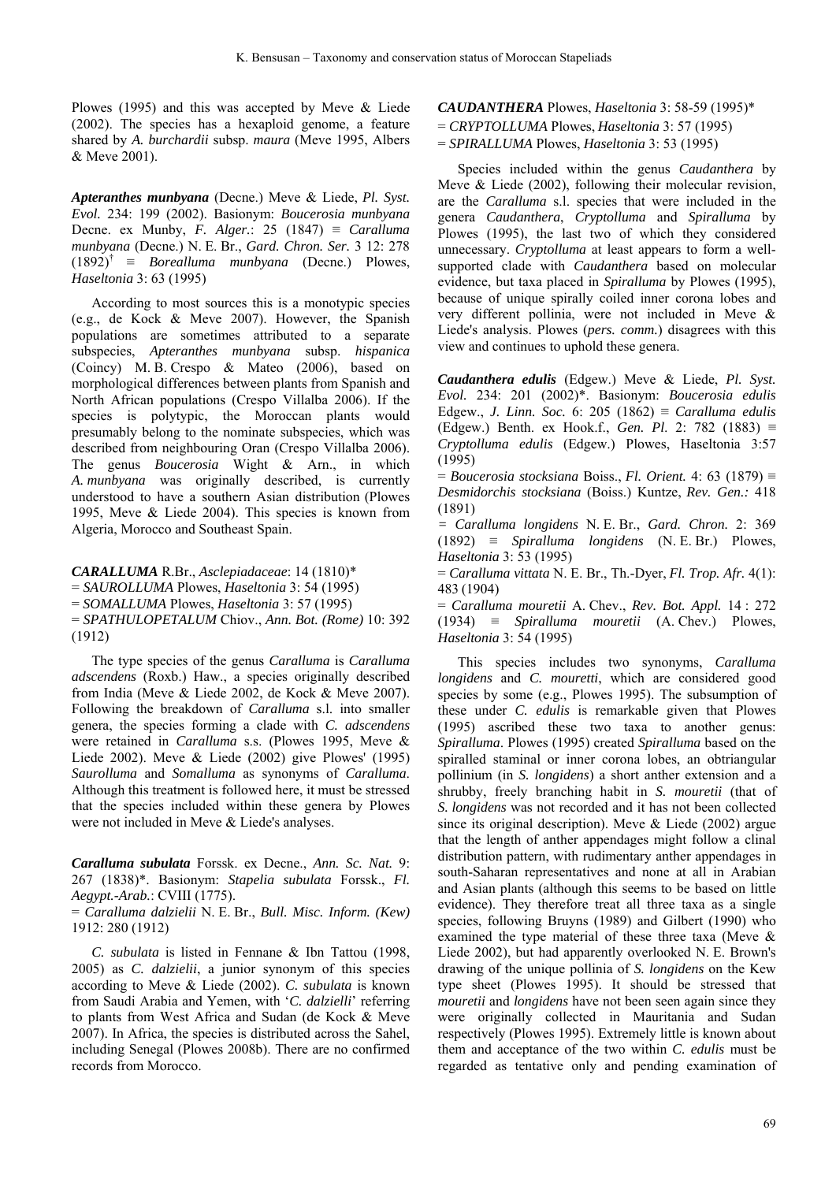Plowes (1995) and this was accepted by Meve & Liede (2002). The species has a hexaploid genome, a feature shared by *A. burchardii* subsp. *maura* (Meve 1995, Albers & Meve 2001).

*Apteranthes munbyana* (Decne.) Meve & Liede, *Pl. Syst. Evol.* 234: 199 (2002). Basionym: *Boucerosia munbyana* Decne. ex Munby, *F. Alger.*: 25 (1847) ≡ *Caralluma munbyana* (Decne.) N. E. Br., *Gard. Chron. Ser.* 3 12: 278  $(1892)^{\dagger} \equiv Borealluma \mu mbyana$  (Decne.) Plowes, *Haseltonia* 3: 63 (1995)

According to most sources this is a monotypic species (e.g., de Kock & Meve 2007). However, the Spanish populations are sometimes attributed to a separate subspecies, *Apteranthes munbyana* subsp. *hispanica* (Coincy) M. B. Crespo & Mateo (2006), based on morphological differences between plants from Spanish and North African populations (Crespo Villalba 2006). If the species is polytypic, the Moroccan plants would presumably belong to the nominate subspecies, which was described from neighbouring Oran (Crespo Villalba 2006). The genus *Boucerosia* Wight & Arn., in which *A. munbyana* was originally described, is currently understood to have a southern Asian distribution (Plowes 1995, Meve & Liede 2004). This species is known from Algeria, Morocco and Southeast Spain.

*CARALLUMA* R.Br., *Asclepiadaceae*: 14 (1810)\* = *SAUROLLUMA* Plowes, *Haseltonia* 3: 54 (1995) = *SOMALLUMA* Plowes, *Haseltonia* 3: 57 (1995) = *SPATHULOPETALUM* Chiov., *Ann. Bot. (Rome)* 10: 392 (1912)

The type species of the genus *Caralluma* is *Caralluma adscendens* (Roxb.) Haw., a species originally described from India (Meve & Liede 2002, de Kock & Meve 2007). Following the breakdown of *Caralluma* s.l. into smaller genera, the species forming a clade with *C. adscendens*  were retained in *Caralluma* s.s. (Plowes 1995, Meve & Liede 2002). Meve & Liede (2002) give Plowes' (1995) *Saurolluma* and *Somalluma* as synonyms of *Caralluma*. Although this treatment is followed here, it must be stressed that the species included within these genera by Plowes were not included in Meve & Liede's analyses.

*Caralluma subulata* Forssk. ex Decne., *Ann. Sc. Nat.* 9: 267 (1838)\*. Basionym: *Stapelia subulata* Forssk., *Fl. Aegypt.-Arab.*: CVIII (1775).

= *Caralluma dalzielii* N. E. Br., *Bull. Misc. Inform. (Kew)* 1912: 280 (1912)

*C. subulata* is listed in Fennane & Ibn Tattou (1998, 2005) as *C. dalzielii*, a junior synonym of this species according to Meve & Liede (2002). *C. subulata* is known from Saudi Arabia and Yemen, with '*C. dalzielli*' referring to plants from West Africa and Sudan (de Kock & Meve 2007). In Africa, the species is distributed across the Sahel, including Senegal (Plowes 2008b). There are no confirmed records from Morocco.

*CAUDANTHERA* Plowes, *Haseltonia* 3: 58-59 (1995)\*

= *CRYPTOLLUMA* Plowes, *Haseltonia* 3: 57 (1995)

= *SPIRALLUMA* Plowes, *Haseltonia* 3: 53 (1995)

Species included within the genus *Caudanthera* by Meve & Liede (2002), following their molecular revision, are the *Caralluma* s.l. species that were included in the genera *Caudanthera*, *Cryptolluma* and *Spiralluma* by Plowes (1995), the last two of which they considered unnecessary. *Cryptolluma* at least appears to form a wellsupported clade with *Caudanthera* based on molecular evidence, but taxa placed in *Spiralluma* by Plowes (1995), because of unique spirally coiled inner corona lobes and very different pollinia, were not included in Meve & Liede's analysis. Plowes (*pers. comm.*) disagrees with this view and continues to uphold these genera.

*Caudanthera edulis* (Edgew.) Meve & Liede, *Pl. Syst. Evol.* 234: 201 (2002)\*. Basionym: *Boucerosia edulis* Edgew., *J. Linn. Soc.* 6: 205 (1862) ≡ *Caralluma edulis* (Edgew.) Benth. ex Hook.f., *Gen. Pl*. 2: 782 (1883) ≡ *Cryptolluma edulis* (Edgew.) Plowes, Haseltonia 3:57 (1995)

= *Boucerosia stocksiana* Boiss., *Fl. Orient.* 4: 63 (1879) ≡ *Desmidorchis stocksiana* (Boiss.) Kuntze, *Rev. Gen.:* 418 (1891)

*= Caralluma longidens* N. E. Br., *Gard. Chron.* 2: 369 (1892) ≡ *Spiralluma longidens* (N. E. Br.) Plowes, *Haseltonia* 3: 53 (1995)

= *Caralluma vittata* N. E. Br., Th.-Dyer, *Fl. Trop. Afr.* 4(1): 483 (1904)

= *Caralluma mouretii* A. Chev., *Rev. Bot. Appl.* 14 : 272 (1934) ≡ *Spiralluma mouretii* (A. Chev.) Plowes, *Haseltonia* 3: 54 (1995)

This species includes two synonyms, *Caralluma longidens* and *C. mouretti*, which are considered good species by some (e.g., Plowes 1995). The subsumption of these under *C. edulis* is remarkable given that Plowes (1995) ascribed these two taxa to another genus: *Spiralluma*. Plowes (1995) created *Spiralluma* based on the spiralled staminal or inner corona lobes, an obtriangular pollinium (in *S. longidens*) a short anther extension and a shrubby, freely branching habit in *S. mouretii* (that of *S. longidens* was not recorded and it has not been collected since its original description). Meve & Liede (2002) argue that the length of anther appendages might follow a clinal distribution pattern, with rudimentary anther appendages in south-Saharan representatives and none at all in Arabian and Asian plants (although this seems to be based on little evidence). They therefore treat all three taxa as a single species, following Bruyns (1989) and Gilbert (1990) who examined the type material of these three taxa (Meve & Liede 2002), but had apparently overlooked N. E. Brown's drawing of the unique pollinia of *S. longidens* on the Kew type sheet (Plowes 1995). It should be stressed that *mouretii* and *longidens* have not been seen again since they were originally collected in Mauritania and Sudan respectively (Plowes 1995). Extremely little is known about them and acceptance of the two within *C. edulis* must be regarded as tentative only and pending examination of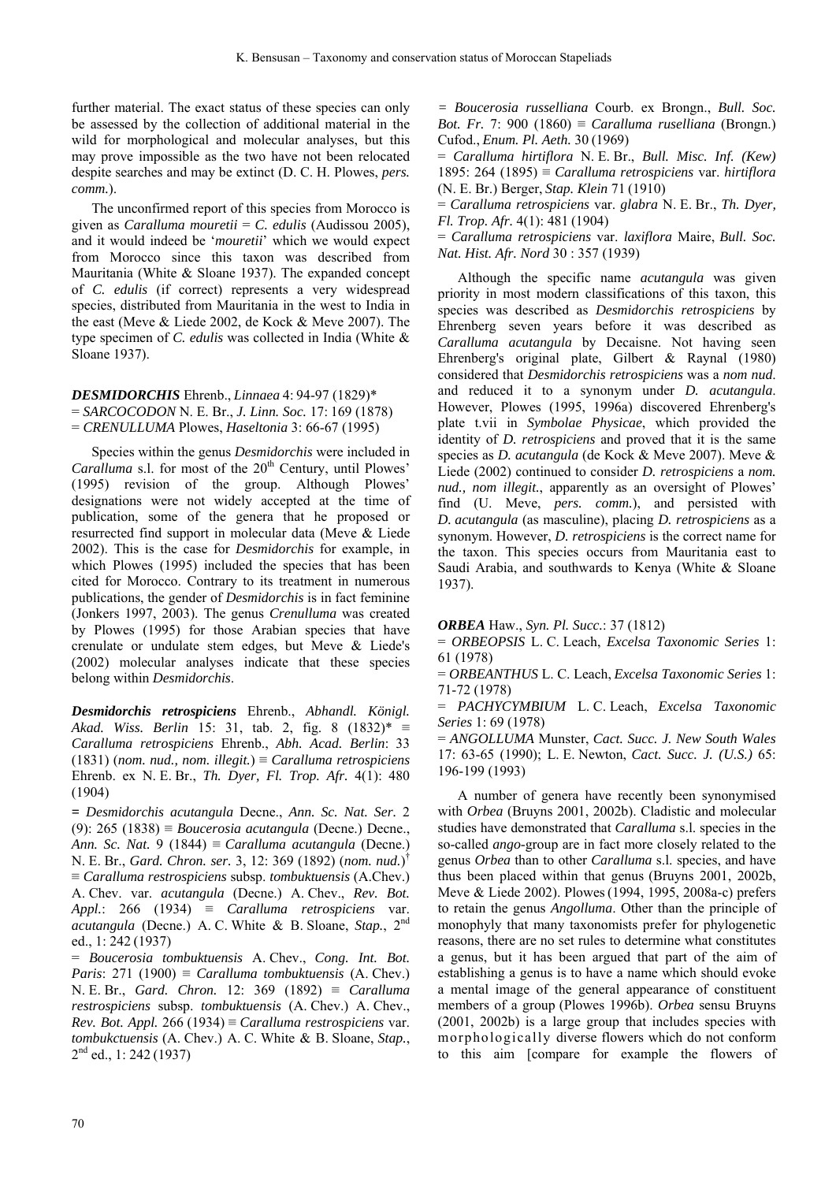further material. The exact status of these species can only be assessed by the collection of additional material in the wild for morphological and molecular analyses, but this may prove impossible as the two have not been relocated despite searches and may be extinct (D. C. H. Plowes, *pers. comm.*).

The unconfirmed report of this species from Morocco is given as *Caralluma mouretii* = *C. edulis* (Audissou 2005), and it would indeed be '*mouretii*' which we would expect from Morocco since this taxon was described from Mauritania (White & Sloane 1937). The expanded concept of *C. edulis* (if correct) represents a very widespread species, distributed from Mauritania in the west to India in the east (Meve & Liede 2002, de Kock & Meve 2007). The type specimen of *C. edulis* was collected in India (White & Sloane 1937).

*DESMIDORCHIS* Ehrenb., *Linnaea* 4: 94-97 (1829)\* = *SARCOCODON* N. E. Br., *J. Linn. Soc.* 17: 169 (1878) = *CRENULLUMA* Plowes, *Haseltonia* 3: 66-67 (1995)

Species within the genus *Desmidorchis* were included in *Caralluma* s.l. for most of the 20<sup>th</sup> Century, until Plowes' (1995) revision of the group. Although Plowes' designations were not widely accepted at the time of publication, some of the genera that he proposed or resurrected find support in molecular data (Meve & Liede 2002). This is the case for *Desmidorchis* for example, in which Plowes (1995) included the species that has been cited for Morocco. Contrary to its treatment in numerous publications, the gender of *Desmidorchis* is in fact feminine (Jonkers 1997, 2003). The genus *Crenulluma* was created by Plowes (1995) for those Arabian species that have crenulate or undulate stem edges, but Meve & Liede's (2002) molecular analyses indicate that these species belong within *Desmidorchis*.

*Desmidorchis retrospiciens* Ehrenb., *Abhandl. Königl. Akad. Wiss. Berlin* 15: 31, tab. 2, fig. 8 (1832)\* ≡ *Caralluma retrospiciens* Ehrenb., *Abh. Acad. Berlin*: 33 (1831) (*nom. nud., nom. illegit.*) ≡ *Caralluma retrospiciens* Ehrenb. ex N. E. Br., *Th. Dyer, Fl. Trop. Afr.* 4(1): 480 (1904)

**=** *Desmidorchis acutangula* Decne., *Ann. Sc. Nat. Ser.* 2 (9): 265 (1838) ≡ *Boucerosia acutangula* (Decne.) Decne., *Ann. Sc. Nat.* 9 (1844) ≡ *Caralluma acutangula* (Decne.) N. E. Br., *Gard. Chron. ser.* 3, 12: 369 (1892) (*nom. nud.*) † ≡ *Caralluma restrospiciens* subsp. *tombuktuensis* (A.Chev.) A. Chev. var. *acutangula* (Decne.) A. Chev., *Rev. Bot. Appl.*: 266 (1934) ≡ *Caralluma retrospiciens* var. *acutangula* (Decne.) A. C. White & B. Sloane, *Stap.*, 2nd ed., 1: 242 (1937)

= *Boucerosia tombuktuensis* A. Chev., *Cong. Int. Bot. Paris*: 271 (1900) ≡ *Caralluma tombuktuensis* (A. Chev.) N. E. Br., *Gard. Chron.* 12: 369 (1892) ≡ *Caralluma restrospiciens* subsp. *tombuktuensis* (A. Chev.) A. Chev., *Rev. Bot. Appl.* 266 (1934) ≡ *Caralluma restrospiciens* var. *tombukctuensis* (A. Chev.) A. C. White & B. Sloane, *Stap.*, 2<sup>nd</sup> ed., 1: 242 (1937)

*= Boucerosia russelliana* Courb. ex Brongn., *Bull. Soc. Bot. Fr.* 7: 900 (1860) ≡ *Caralluma ruselliana* (Brongn.) Cufod., *Enum. Pl. Aeth.* 30 (1969)

= *Caralluma hirtiflora* N. E. Br., *Bull. Misc. Inf. (Kew)* 1895: 264 (1895) ≡ *Caralluma retrospiciens* var. *hirtiflora* (N. E. Br.) Berger, *Stap. Klein* 71 (1910)

= *Caralluma retrospiciens* var. *glabra* N. E. Br., *Th. Dyer, Fl. Trop. Afr.* 4(1): 481 (1904)

= *Caralluma retrospiciens* var. *laxiflora* Maire, *Bull. Soc. Nat. Hist. Afr. Nord* 30 : 357 (1939)

Although the specific name *acutangula* was given priority in most modern classifications of this taxon, this species was described as *Desmidorchis retrospiciens* by Ehrenberg seven years before it was described as *Caralluma acutangula* by Decaisne. Not having seen Ehrenberg's original plate, Gilbert & Raynal (1980) considered that *Desmidorchis retrospiciens* was a *nom nud*. and reduced it to a synonym under *D. acutangula*. However, Plowes (1995, 1996a) discovered Ehrenberg's plate t.vii in *Symbolae Physicae*, which provided the identity of *D. retrospiciens* and proved that it is the same species as *D. acutangula* (de Kock & Meve 2007). Meve & Liede (2002) continued to consider *D. retrospiciens* a *nom. nud., nom illegit.*, apparently as an oversight of Plowes' find (U. Meve, *pers. comm.*), and persisted with *D. acutangula* (as masculine), placing *D. retrospiciens* as a synonym. However, *D. retrospiciens* is the correct name for the taxon. This species occurs from Mauritania east to Saudi Arabia, and southwards to Kenya (White & Sloane 1937).

*ORBEA* Haw., *Syn. Pl. Succ.*: 37 (1812)

= *ORBEOPSIS* L. C. Leach, *Excelsa Taxonomic Series* 1: 61 (1978)

= *ORBEANTHUS* L. C. Leach, *Excelsa Taxonomic Series* 1: 71-72 (1978)

= *PACHYCYMBIUM* L. C. Leach, *Excelsa Taxonomic Series* 1: 69 (1978)

= *ANGOLLUMA* Munster, *Cact. Succ. J. New South Wales* 17: 63-65 (1990); L. E. Newton, *Cact. Succ. J. (U.S.)* 65: 196-199 (1993)

A number of genera have recently been synonymised with *Orbea* (Bruyns 2001, 2002b). Cladistic and molecular studies have demonstrated that *Caralluma* s.l. species in the so-called *ango*-group are in fact more closely related to the genus *Orbea* than to other *Caralluma* s.l. species, and have thus been placed within that genus (Bruyns 2001, 2002b, Meve & Liede 2002). Plowes(1994, 1995, 2008a-c) prefers to retain the genus *Angolluma*. Other than the principle of monophyly that many taxonomists prefer for phylogenetic reasons, there are no set rules to determine what constitutes a genus, but it has been argued that part of the aim of establishing a genus is to have a name which should evoke a mental image of the general appearance of constituent members of a group (Plowes 1996b). *Orbea* sensu Bruyns (2001, 2002b) is a large group that includes species with morphologically diverse flowers which do not conform to this aim [compare for example the flowers of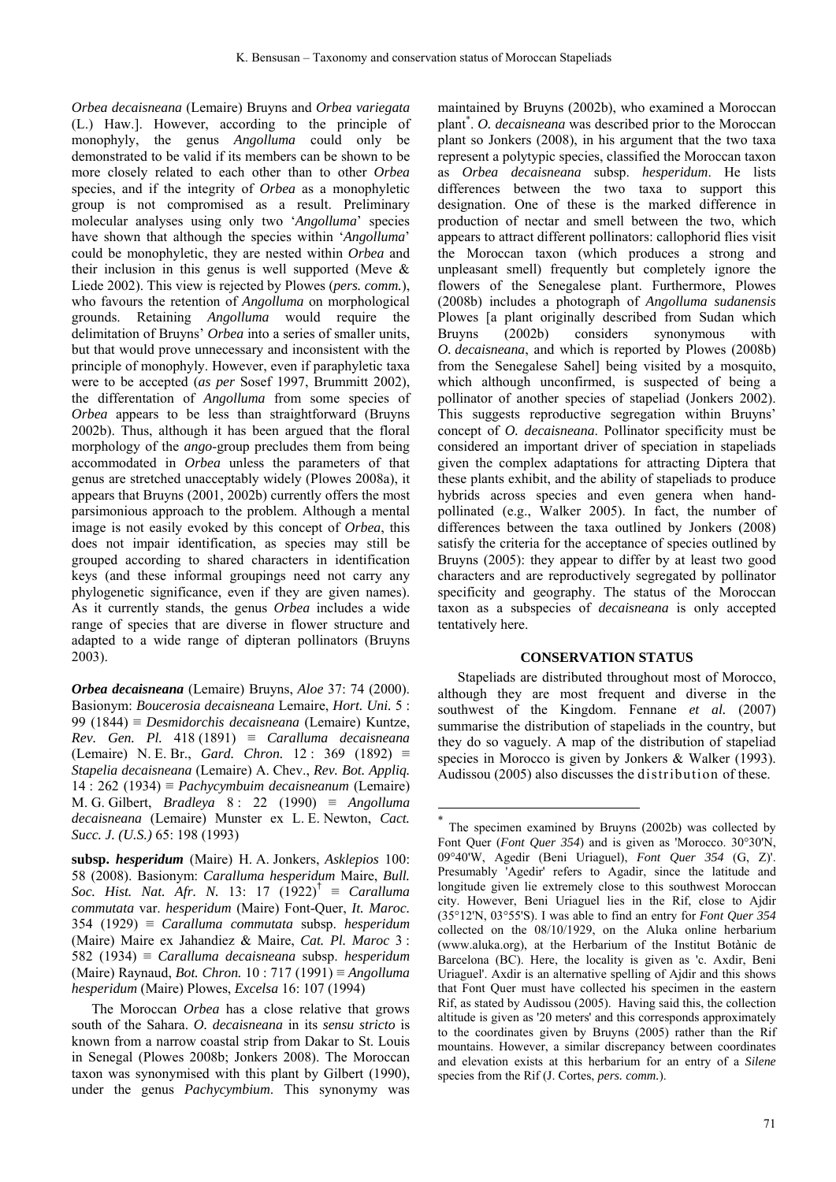<u>.</u>

*Orbea decaisneana* (Lemaire) Bruyns and *Orbea variegata* (L.) Haw.]. However, according to the principle of monophyly, the genus *Angolluma* could only be demonstrated to be valid if its members can be shown to be more closely related to each other than to other *Orbea*  species, and if the integrity of *Orbea* as a monophyletic group is not compromised as a result. Preliminary molecular analyses using only two '*Angolluma*' species have shown that although the species within '*Angolluma*' could be monophyletic, they are nested within *Orbea* and their inclusion in this genus is well supported (Meve & Liede 2002). This view is rejected by Plowes (*pers. comm.*), who favours the retention of *Angolluma* on morphological grounds. Retaining *Angolluma* would require the delimitation of Bruyns' *Orbea* into a series of smaller units, but that would prove unnecessary and inconsistent with the principle of monophyly. However, even if paraphyletic taxa were to be accepted (*as per* Sosef 1997, Brummitt 2002), the differentation of *Angolluma* from some species of *Orbea* appears to be less than straightforward (Bruyns 2002b). Thus, although it has been argued that the floral morphology of the *ango*-group precludes them from being accommodated in *Orbea* unless the parameters of that genus are stretched unacceptably widely (Plowes 2008a), it appears that Bruyns (2001, 2002b) currently offers the most parsimonious approach to the problem. Although a mental image is not easily evoked by this concept of *Orbea*, this does not impair identification, as species may still be grouped according to shared characters in identification keys (and these informal groupings need not carry any phylogenetic significance, even if they are given names). As it currently stands, the genus *Orbea* includes a wide range of species that are diverse in flower structure and adapted to a wide range of dipteran pollinators (Bruyns 2003).

*Orbea decaisneana* (Lemaire) Bruyns, *Aloe* 37: 74 (2000). Basionym: *Boucerosia decaisneana* Lemaire, *Hort. Uni.* 5 : 99 (1844) ≡ *Desmidorchis decaisneana* (Lemaire) Kuntze, *Rev. Gen. Pl.* 418 (1891) ≡ *Caralluma decaisneana* (Lemaire) N. E. Br., *Gard. Chron.* 12 : 369 (1892) ≡ *Stapelia decaisneana* (Lemaire) A. Chev., *Rev. Bot. Appliq.* 14 : 262 (1934) ≡ *Pachycymbuim decaisneanum* (Lemaire) M. G. Gilbert, *Bradleya* 8 : 22 (1990) ≡ *Angolluma decaisneana* (Lemaire) Munster ex L. E. Newton, *Cact. Succ. J. (U.S.)* 65: 198 (1993)

**subsp.** *hesperidum* (Maire) H. A. Jonkers, *Asklepios* 100: 58 (2008). Basionym: *Caralluma hesperidum* Maire, *Bull. Soc. Hist. Nat. Afr. N.* 13: 17 (1922)† ≡ *Caralluma commutata* var. *hesperidum* (Maire) Font-Quer, *It. Maroc.* 354 (1929) ≡ *Caralluma commutata* subsp. *hesperidum*  (Maire) Maire ex Jahandiez & Maire, *Cat. Pl. Maroc* 3 : 582 (1934) ≡ *Caralluma decaisneana* subsp. *hesperidum* (Maire) Raynaud, *Bot. Chron.* 10 : 717 (1991) ≡ *Angolluma hesperidum* (Maire) Plowes, *Excelsa* 16: 107 (1994)

The Moroccan *Orbea* has a close relative that grows south of the Sahara. *O. decaisneana* in its *sensu stricto* is known from a narrow coastal strip from Dakar to St. Louis in Senegal (Plowes 2008b; Jonkers 2008). The Moroccan taxon was synonymised with this plant by Gilbert (1990), under the genus *Pachycymbium*. This synonymy was

maintained by Bruyns (2002b), who examined a Moroccan plant\* . *O. decaisneana* was described prior to the Moroccan plant so Jonkers (2008), in his argument that the two taxa represent a polytypic species, classified the Moroccan taxon as *Orbea decaisneana* subsp. *hesperidum*. He lists differences between the two taxa to support this designation. One of these is the marked difference in production of nectar and smell between the two, which appears to attract different pollinators: callophorid flies visit the Moroccan taxon (which produces a strong and unpleasant smell) frequently but completely ignore the flowers of the Senegalese plant. Furthermore, Plowes (2008b) includes a photograph of *Angolluma sudanensis* Plowes [a plant originally described from Sudan which Bruyns (2002b) considers synonymous with *O. decaisneana*, and which is reported by Plowes (2008b) from the Senegalese Sahel] being visited by a mosquito, which although unconfirmed, is suspected of being a pollinator of another species of stapeliad (Jonkers 2002). This suggests reproductive segregation within Bruyns' concept of *O. decaisneana*. Pollinator specificity must be considered an important driver of speciation in stapeliads given the complex adaptations for attracting Diptera that these plants exhibit, and the ability of stapeliads to produce hybrids across species and even genera when handpollinated (e.g., Walker 2005). In fact, the number of differences between the taxa outlined by Jonkers (2008) satisfy the criteria for the acceptance of species outlined by Bruyns (2005): they appear to differ by at least two good characters and are reproductively segregated by pollinator specificity and geography. The status of the Moroccan taxon as a subspecies of *decaisneana* is only accepted tentatively here.

#### **CONSERVATION STATUS**

Stapeliads are distributed throughout most of Morocco, although they are most frequent and diverse in the southwest of the Kingdom. Fennane *et al.* (2007) summarise the distribution of stapeliads in the country, but they do so vaguely. A map of the distribution of stapeliad species in Morocco is given by Jonkers & Walker (1993). Audissou (2005) also discusses the distribution of these.

<sup>\*</sup> The specimen examined by Bruyns (2002b) was collected by Font Quer (*Font Quer 354*) and is given as 'Morocco. 30°30'N, 09°40'W, Agedir (Beni Uriaguel), *Font Quer 354* (G, Z)'. Presumably 'Agedir' refers to Agadir, since the latitude and longitude given lie extremely close to this southwest Moroccan city. However, Beni Uriaguel lies in the Rif, close to Ajdir (35°12'N, 03°55'S). I was able to find an entry for *Font Quer 354* collected on the 08/10/1929, on the Aluka online herbarium (www.aluka.org), at the Herbarium of the Institut Botànic de Barcelona (BC). Here, the locality is given as 'c. Axdir, Beni Uriaguel'. Axdir is an alternative spelling of Ajdir and this shows that Font Quer must have collected his specimen in the eastern Rif, as stated by Audissou (2005). Having said this, the collection altitude is given as '20 meters' and this corresponds approximately to the coordinates given by Bruyns (2005) rather than the Rif mountains. However, a similar discrepancy between coordinates and elevation exists at this herbarium for an entry of a *Silene*  species from the Rif (J. Cortes, *pers. comm.*).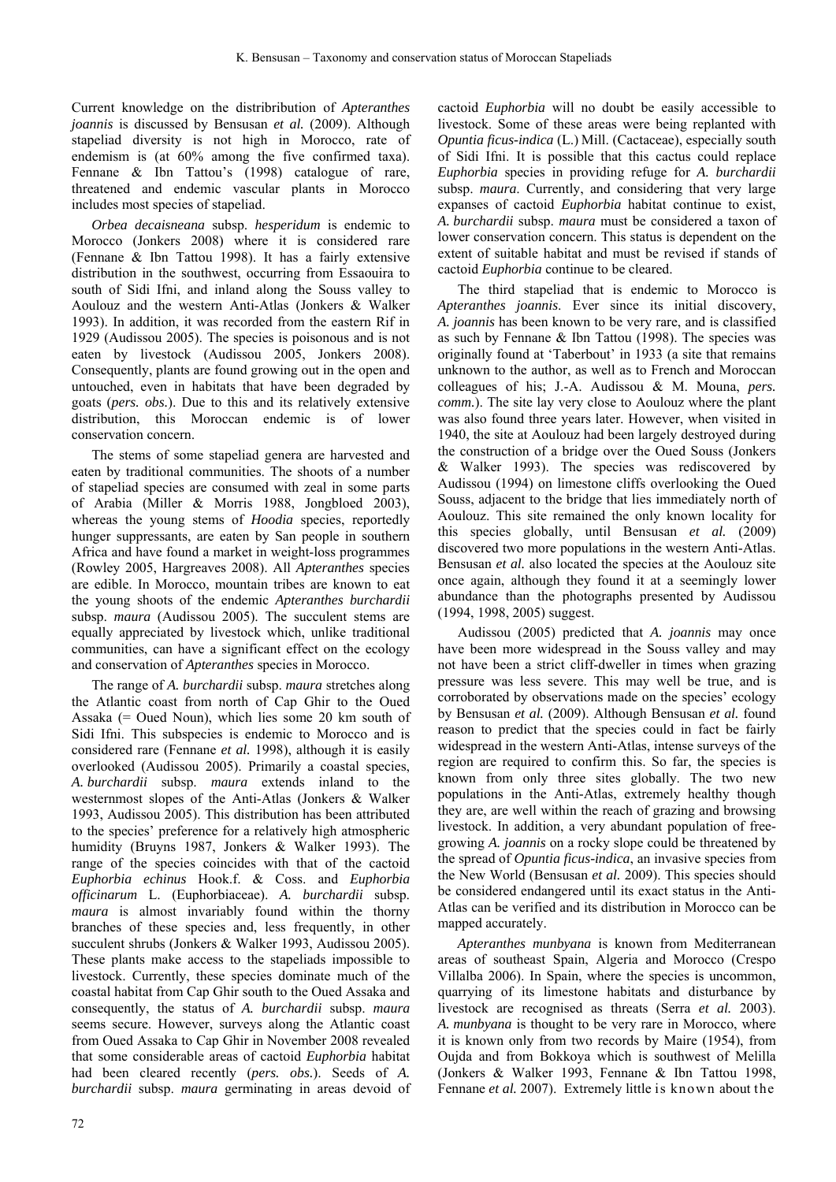Current knowledge on the distribribution of *Apteranthes joannis* is discussed by Bensusan *et al.* (2009). Although stapeliad diversity is not high in Morocco, rate of endemism is (at 60% among the five confirmed taxa). Fennane & Ibn Tattou's (1998) catalogue of rare, threatened and endemic vascular plants in Morocco includes most species of stapeliad.

*Orbea decaisneana* subsp. *hesperidum* is endemic to Morocco (Jonkers 2008) where it is considered rare (Fennane & Ibn Tattou 1998). It has a fairly extensive distribution in the southwest, occurring from Essaouira to south of Sidi Ifni, and inland along the Souss valley to Aoulouz and the western Anti-Atlas (Jonkers & Walker 1993). In addition, it was recorded from the eastern Rif in 1929 (Audissou 2005). The species is poisonous and is not eaten by livestock (Audissou 2005, Jonkers 2008). Consequently, plants are found growing out in the open and untouched, even in habitats that have been degraded by goats (*pers. obs.*). Due to this and its relatively extensive distribution, this Moroccan endemic is of lower conservation concern.

The stems of some stapeliad genera are harvested and eaten by traditional communities. The shoots of a number of stapeliad species are consumed with zeal in some parts of Arabia (Miller & Morris 1988, Jongbloed 2003), whereas the young stems of *Hoodia* species, reportedly hunger suppressants, are eaten by San people in southern Africa and have found a market in weight-loss programmes (Rowley 2005, Hargreaves 2008). All *Apteranthes* species are edible. In Morocco, mountain tribes are known to eat the young shoots of the endemic *Apteranthes burchardii* subsp. *maura* (Audissou 2005). The succulent stems are equally appreciated by livestock which, unlike traditional communities, can have a significant effect on the ecology and conservation of *Apteranthes* species in Morocco.

The range of *A. burchardii* subsp. *maura* stretches along the Atlantic coast from north of Cap Ghir to the Oued Assaka (= Oued Noun), which lies some 20 km south of Sidi Ifni. This subspecies is endemic to Morocco and is considered rare (Fennane *et al.* 1998), although it is easily overlooked (Audissou 2005). Primarily a coastal species, *A. burchardii* subsp. *maura* extends inland to the westernmost slopes of the Anti-Atlas (Jonkers & Walker 1993, Audissou 2005). This distribution has been attributed to the species' preference for a relatively high atmospheric humidity (Bruyns 1987, Jonkers & Walker 1993). The range of the species coincides with that of the cactoid *Euphorbia echinus* Hook.f. & Coss. and *Euphorbia officinarum* L. (Euphorbiaceae). *A. burchardii* subsp. *maura* is almost invariably found within the thorny branches of these species and, less frequently, in other succulent shrubs (Jonkers & Walker 1993, Audissou 2005). These plants make access to the stapeliads impossible to livestock. Currently, these species dominate much of the coastal habitat from Cap Ghir south to the Oued Assaka and consequently, the status of *A. burchardii* subsp. *maura*  seems secure. However, surveys along the Atlantic coast from Oued Assaka to Cap Ghir in November 2008 revealed that some considerable areas of cactoid *Euphorbia* habitat had been cleared recently (*pers. obs.*). Seeds of *A. burchardii* subsp. *maura* germinating in areas devoid of cactoid *Euphorbia* will no doubt be easily accessible to livestock. Some of these areas were being replanted with *Opuntia ficus-indica* (L.) Mill. (Cactaceae), especially south of Sidi Ifni. It is possible that this cactus could replace *Euphorbia* species in providing refuge for *A. burchardii* subsp. *maura*. Currently, and considering that very large expanses of cactoid *Euphorbia* habitat continue to exist, *A. burchardii* subsp. *maura* must be considered a taxon of lower conservation concern. This status is dependent on the extent of suitable habitat and must be revised if stands of cactoid *Euphorbia* continue to be cleared.

The third stapeliad that is endemic to Morocco is *Apteranthes joannis*. Ever since its initial discovery, *A. joannis* has been known to be very rare, and is classified as such by Fennane  $&$  Ibn Tattou (1998). The species was originally found at 'Taberbout' in 1933 (a site that remains unknown to the author, as well as to French and Moroccan colleagues of his; J.-A. Audissou & M. Mouna, *pers. comm.*). The site lay very close to Aoulouz where the plant was also found three years later. However, when visited in 1940, the site at Aoulouz had been largely destroyed during the construction of a bridge over the Oued Souss (Jonkers & Walker 1993). The species was rediscovered by Audissou (1994) on limestone cliffs overlooking the Oued Souss, adjacent to the bridge that lies immediately north of Aoulouz. This site remained the only known locality for this species globally, until Bensusan *et al.* (2009) discovered two more populations in the western Anti-Atlas. Bensusan *et al.* also located the species at the Aoulouz site once again, although they found it at a seemingly lower abundance than the photographs presented by Audissou (1994, 1998, 2005) suggest.

Audissou (2005) predicted that *A. joannis* may once have been more widespread in the Souss valley and may not have been a strict cliff-dweller in times when grazing pressure was less severe. This may well be true, and is corroborated by observations made on the species' ecology by Bensusan *et al.* (2009). Although Bensusan *et al.* found reason to predict that the species could in fact be fairly widespread in the western Anti-Atlas, intense surveys of the region are required to confirm this. So far, the species is known from only three sites globally. The two new populations in the Anti-Atlas, extremely healthy though they are, are well within the reach of grazing and browsing livestock. In addition, a very abundant population of freegrowing *A. joannis* on a rocky slope could be threatened by the spread of *Opuntia ficus-indica*, an invasive species from the New World (Bensusan *et al.* 2009). This species should be considered endangered until its exact status in the Anti-Atlas can be verified and its distribution in Morocco can be mapped accurately.

*Apteranthes munbyana* is known from Mediterranean areas of southeast Spain, Algeria and Morocco (Crespo Villalba 2006). In Spain, where the species is uncommon, quarrying of its limestone habitats and disturbance by livestock are recognised as threats (Serra *et al.* 2003). *A. munbyana* is thought to be very rare in Morocco, where it is known only from two records by Maire (1954), from Oujda and from Bokkoya which is southwest of Melilla (Jonkers & Walker 1993, Fennane & Ibn Tattou 1998, Fennane *et al.* 2007). Extremely little is known about the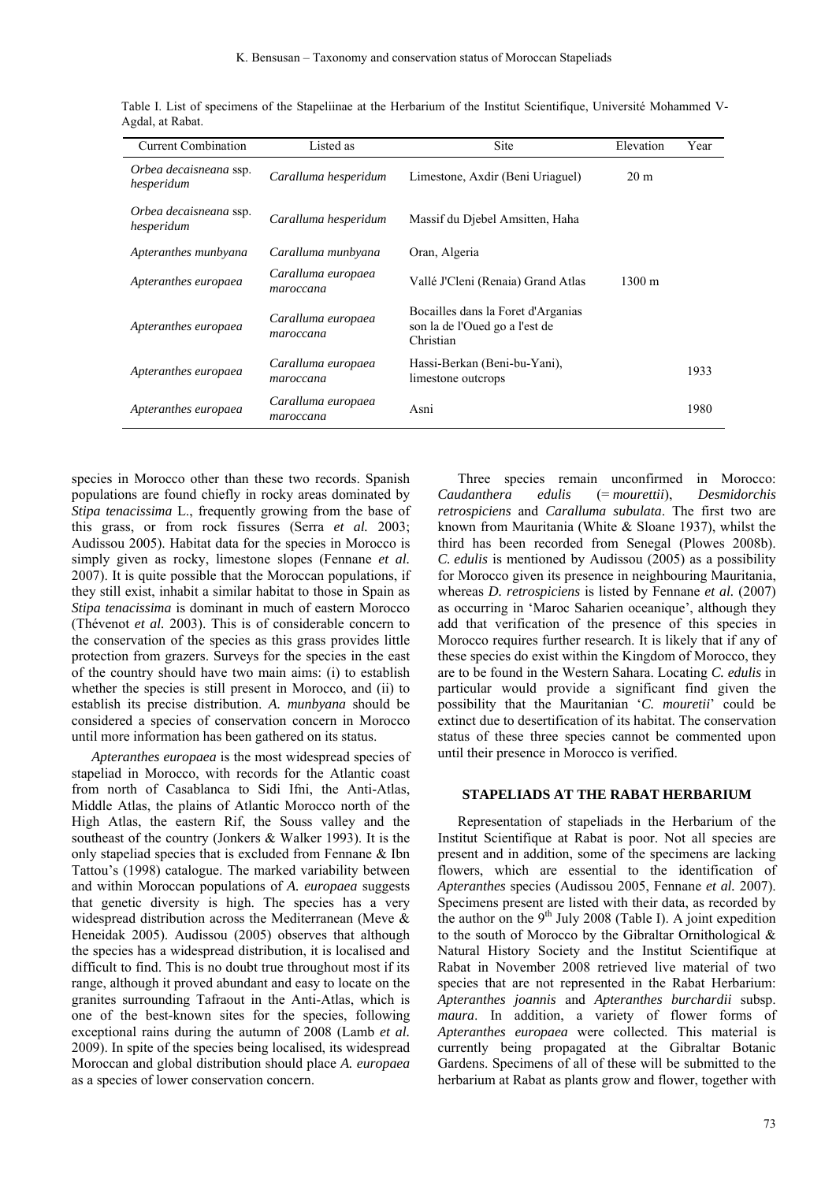| <b>Current Combination</b>           | Listed as                       | <b>Site</b>                                                                       | Elevation            | Year |
|--------------------------------------|---------------------------------|-----------------------------------------------------------------------------------|----------------------|------|
| Orbea decaisneana ssp.<br>hesperidum | Caralluma hesperidum            | Limestone, Axdir (Beni Uriaguel)                                                  | 20 <sub>m</sub>      |      |
| Orbea decaisneana ssp.<br>hesperidum | Caralluma hesperidum            | Massif du Diebel Amsitten, Haha                                                   |                      |      |
| Apteranthes munbyana                 | Caralluma munbyana              | Oran, Algeria                                                                     |                      |      |
| Apteranthes europaea                 | Caralluma europaea<br>maroccana | Vallé J'Cleni (Renaia) Grand Atlas                                                | $1300 \; \mathrm{m}$ |      |
| Apteranthes europaea                 | Caralluma europaea<br>maroccana | Bocailles dans la Foret d'Arganias<br>son la de l'Oued go a l'est de<br>Christian |                      |      |
| Apteranthes europaea                 | Caralluma europaea<br>maroccana | Hassi-Berkan (Beni-bu-Yani),<br>limestone outcrops                                |                      | 1933 |
| Apteranthes europaea                 | Caralluma europaea<br>maroccana | Asni                                                                              |                      | 1980 |

Table I. List of specimens of the Stapeliinae at the Herbarium of the Institut Scientifique, Université Mohammed V-Agdal, at Rabat.

species in Morocco other than these two records. Spanish populations are found chiefly in rocky areas dominated by *Stipa tenacissima* L., frequently growing from the base of this grass, or from rock fissures (Serra *et al.* 2003; Audissou 2005). Habitat data for the species in Morocco is simply given as rocky, limestone slopes (Fennane *et al.* 2007). It is quite possible that the Moroccan populations, if they still exist, inhabit a similar habitat to those in Spain as *Stipa tenacissima* is dominant in much of eastern Morocco (Thévenot *et al.* 2003). This is of considerable concern to the conservation of the species as this grass provides little protection from grazers. Surveys for the species in the east of the country should have two main aims: (i) to establish whether the species is still present in Morocco, and (ii) to establish its precise distribution. *A. munbyana* should be considered a species of conservation concern in Morocco until more information has been gathered on its status.

*Apteranthes europaea* is the most widespread species of stapeliad in Morocco, with records for the Atlantic coast from north of Casablanca to Sidi Ifni, the Anti-Atlas, Middle Atlas, the plains of Atlantic Morocco north of the High Atlas, the eastern Rif, the Souss valley and the southeast of the country (Jonkers & Walker 1993). It is the only stapeliad species that is excluded from Fennane & Ibn Tattou's (1998) catalogue. The marked variability between and within Moroccan populations of *A. europaea* suggests that genetic diversity is high. The species has a very widespread distribution across the Mediterranean (Meve & Heneidak 2005). Audissou (2005) observes that although the species has a widespread distribution, it is localised and difficult to find. This is no doubt true throughout most if its range, although it proved abundant and easy to locate on the granites surrounding Tafraout in the Anti-Atlas, which is one of the best-known sites for the species, following exceptional rains during the autumn of 2008 (Lamb *et al.* 2009). In spite of the species being localised, its widespread Moroccan and global distribution should place *A. europaea* as a species of lower conservation concern.

Three species remain unconfirmed in Morocco: *Caudanthera edulis* (= *mourettii*), *Desmidorchis retrospiciens* and *Caralluma subulata*. The first two are known from Mauritania (White & Sloane 1937), whilst the third has been recorded from Senegal (Plowes 2008b). *C. edulis* is mentioned by Audissou (2005) as a possibility for Morocco given its presence in neighbouring Mauritania, whereas *D. retrospiciens* is listed by Fennane *et al.* (2007) as occurring in 'Maroc Saharien oceanique', although they add that verification of the presence of this species in Morocco requires further research. It is likely that if any of these species do exist within the Kingdom of Morocco, they are to be found in the Western Sahara. Locating *C. edulis* in particular would provide a significant find given the possibility that the Mauritanian '*C. mouretii*' could be extinct due to desertification of its habitat. The conservation status of these three species cannot be commented upon until their presence in Morocco is verified.

## **STAPELIADS AT THE RABAT HERBARIUM**

Representation of stapeliads in the Herbarium of the Institut Scientifique at Rabat is poor. Not all species are present and in addition, some of the specimens are lacking flowers, which are essential to the identification of *Apteranthes* species (Audissou 2005, Fennane *et al.* 2007). Specimens present are listed with their data, as recorded by the author on the  $9<sup>th</sup>$  July 2008 (Table I). A joint expedition to the south of Morocco by the Gibraltar Ornithological & Natural History Society and the Institut Scientifique at Rabat in November 2008 retrieved live material of two species that are not represented in the Rabat Herbarium: *Apteranthes joannis* and *Apteranthes burchardii* subsp. *maura*. In addition, a variety of flower forms of *Apteranthes europaea* were collected. This material is currently being propagated at the Gibraltar Botanic Gardens. Specimens of all of these will be submitted to the herbarium at Rabat as plants grow and flower, together with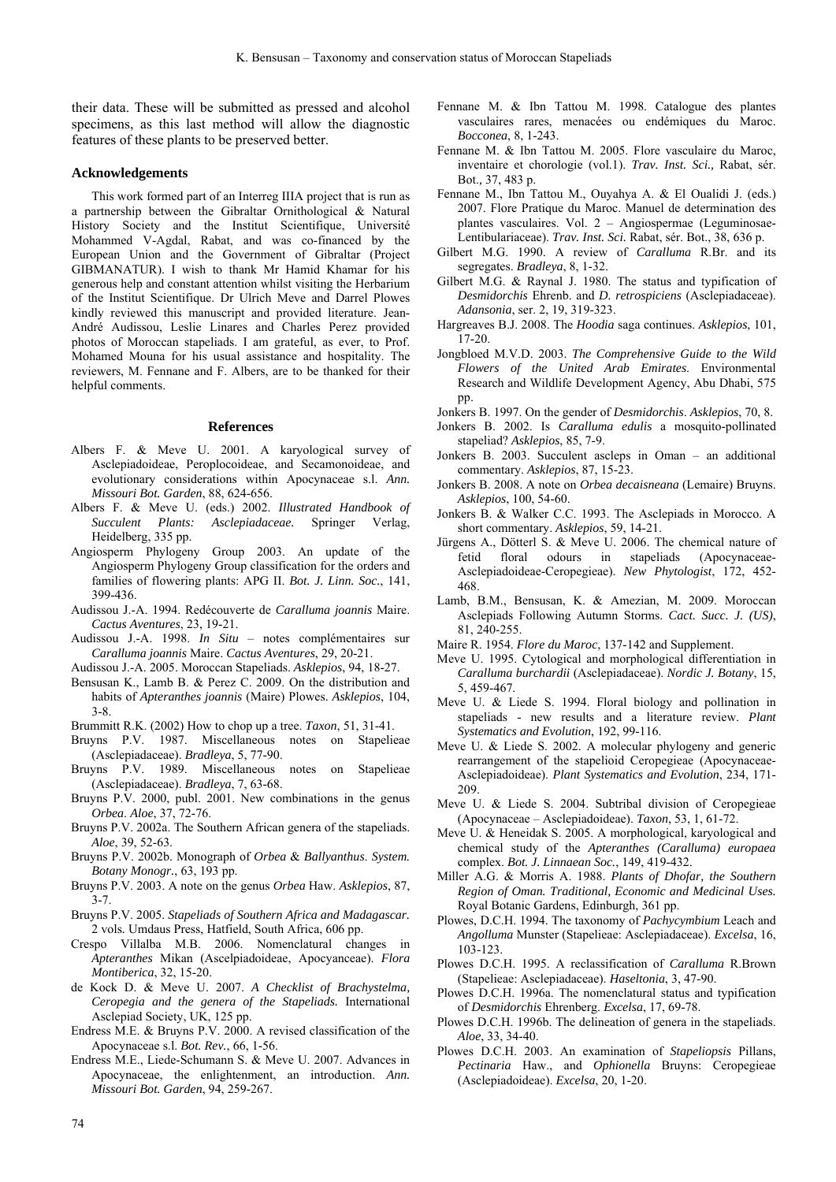their data. These will be submitted as pressed and alcohol specimens, as this last method will allow the diagnostic features of these plants to be preserved better.

#### **Acknowledgements**

This work formed part of an Interreg IIIA project that is run as a partnership between the Gibraltar Ornithological & Natural History Society and the Institut Scientifique, Université Mohammed V-Agdal, Rabat, and was co-financed by the European Union and the Government of Gibraltar (Project GIBMANATUR). I wish to thank Mr Hamid Khamar for his generous help and constant attention whilst visiting the Herbarium of the Institut Scientifique. Dr Ulrich Meve and Darrel Plowes kindly reviewed this manuscript and provided literature. Jean-André Audissou, Leslie Linares and Charles Perez provided photos of Moroccan stapeliads. I am grateful, as ever, to Prof. Mohamed Mouna for his usual assistance and hospitality. The reviewers, M. Fennane and F. Albers, are to be thanked for their helpful comments.

#### **References**

- Albers F. & Meve U. 2001. A karyological survey of Asclepiadoideae, Peroplocoideae, and Secamonoideae, and evolutionary considerations within Apocynaceae s.l. *Ann. Missouri Bot. Garden*, 88, 624-656.
- Albers F. & Meve U. (eds.) 2002. *Illustrated Handbook of Succulent Plants: Asclepiadaceae.* Springer Verlag, Heidelberg, 335 pp.
- Angiosperm Phylogeny Group 2003. An update of the Angiosperm Phylogeny Group classification for the orders and families of flowering plants: APG II. *Bot. J. Linn. Soc.*, 141, 399-436.
- Audissou J.-A. 1994. Redécouverte de *Caralluma joannis* Maire. *Cactus Aventures*, 23, 19-21.
- Audissou J.-A. 1998. *In Situ* notes complémentaires sur *Caralluma joannis* Maire. *Cactus Aventures*, 29, 20-21.
- Audissou J.-A. 2005. Moroccan Stapeliads. *Asklepios*, 94, 18-27.
- Bensusan K., Lamb B. & Perez C. 2009. On the distribution and habits of *Apteranthes joannis* (Maire) Plowes. *Asklepios*, 104, 3-8.
- Brummitt R.K. (2002) How to chop up a tree. *Taxon*, 51, 31-41.
- Bruyns P.V. 1987. Miscellaneous notes on Stapelieae (Asclepiadaceae). *Bradleya*, 5, 77-90.
- Bruyns P.V. 1989. Miscellaneous notes on Stapelieae (Asclepiadaceae). *Bradleya*, 7, 63-68.
- Bruyns P.V. 2000, publ. 2001. New combinations in the genus *Orbea*. *Aloe*, 37, 72-76.
- Bruyns P.V. 2002a. The Southern African genera of the stapeliads. *Aloe*, 39, 52-63.
- Bruyns P.V. 2002b. Monograph of *Orbea* & *Ballyanthus*. *System. Botany Monogr.*, 63, 193 pp.
- Bruyns P.V. 2003. A note on the genus *Orbea* Haw. *Asklepios*, 87, 3-7.
- Bruyns P.V. 2005. *Stapeliads of Southern Africa and Madagascar.*  2 vols*.* Umdaus Press, Hatfield, South Africa, 606 pp.
- Crespo Villalba M.B. 2006. Nomenclatural changes in *Apteranthes* Mikan (Ascelpiadoideae, Apocyanceae). *Flora Montiberica*, 32, 15-20.
- de Kock D. & Meve U. 2007. *A Checklist of Brachystelma, Ceropegia and the genera of the Stapeliads.* International Asclepiad Society, UK, 125 pp.
- Endress M.E. & Bruyns P.V. 2000. A revised classification of the Apocynaceae s.l. *Bot. Rev.*, 66, 1-56.
- Endress M.E., Liede-Schumann S. & Meve U. 2007. Advances in Apocynaceae, the enlightenment, an introduction. *Ann. Missouri Bot. Garden*, 94, 259-267.
- Fennane M. & Ibn Tattou M. 1998. Catalogue des plantes vasculaires rares, menacées ou endémiques du Maroc. *Bocconea*, 8, 1-243.
- Fennane M. & Ibn Tattou M. 2005. Flore vasculaire du Maroc, inventaire et chorologie (vol.1). *Trav. Inst. Sci.,* Rabat, sér. Bot.*,* 37, 483 p.
- Fennane M., Ibn Tattou M., Ouyahya A. & El Oualidi J. (eds.) 2007. Flore Pratique du Maroc. Manuel de determination des plantes vasculaires. Vol. 2 – Angiospermae (Leguminosae-Lentibulariaceae). *Trav. Inst. Sci.* Rabat, sér. Bot., 38, 636 p.
- Gilbert M.G. 1990. A review of *Caralluma* R.Br. and its segregates. *Bradleya*, 8, 1-32.
- Gilbert M.G. & Raynal J. 1980. The status and typification of *Desmidorchis* Ehrenb. and *D. retrospiciens* (Asclepiadaceae). *Adansonia*, ser. 2, 19, 319-323.
- Hargreaves B.J. 2008. The *Hoodia* saga continues. *Asklepios*, 101, 17-20.
- Jongbloed M.V.D. 2003. *The Comprehensive Guide to the Wild Flowers of the United Arab Emirates*. Environmental Research and Wildlife Development Agency, Abu Dhabi, 575 pp.

Jonkers B. 1997. On the gender of *Desmidorchis*. *Asklepios*, 70, 8.

- Jonkers B. 2002. Is *Caralluma edulis* a mosquito-pollinated stapeliad? *Asklepios*, 85, 7-9.
- Jonkers B. 2003. Succulent ascleps in Oman an additional commentary. *Asklepios*, 87, 15-23.
- Jonkers B. 2008. A note on *Orbea decaisneana* (Lemaire) Bruyns. *Asklepios*, 100, 54-60.
- Jonkers B. & Walker C.C. 1993. The Asclepiads in Morocco. A short commentary. *Asklepios*, 59, 14-21.
- Jürgens A., Dötterl S. & Meve U. 2006. The chemical nature of fetid floral odours in stapeliads (Apocynaceae-Asclepiadoideae-Ceropegieae). *New Phytologist*, 172, 452- 468.
- Lamb, B.M., Bensusan, K. & Amezian, M. 2009. Moroccan Asclepiads Following Autumn Storms. *Cact. Succ. J. (US)*, 81, 240-255.
- Maire R. 1954. *Flore du Maroc*, 137-142 and Supplement.
- Meve U. 1995. Cytological and morphological differentiation in *Caralluma burchardii* (Asclepiadaceae). *Nordic J. Botany*, 15, 5, 459-467.
- Meve U. & Liede S. 1994. Floral biology and pollination in stapeliads - new results and a literature review. *Plant Systematics and Evolution*, 192, 99-116.
- Meve U. & Liede S. 2002. A molecular phylogeny and generic rearrangement of the stapelioid Ceropegieae (Apocynaceae-Asclepiadoideae). *Plant Systematics and Evolution*, 234, 171- 209.
- Meve U. & Liede S. 2004. Subtribal division of Ceropegieae (Apocynaceae – Asclepiadoideae). *Taxon*, 53, 1, 61-72.
- Meve U. & Heneidak S. 2005. A morphological, karyological and chemical study of the *Apteranthes (Caralluma) europaea* complex. *Bot. J. Linnaean Soc.*, 149, 419-432.
- Miller A.G. & Morris A. 1988. *Plants of Dhofar, the Southern Region of Oman. Traditional, Economic and Medicinal Uses.* Royal Botanic Gardens, Edinburgh, 361 pp.
- Plowes, D.C.H. 1994. The taxonomy of *Pachycymbium* Leach and *Angolluma* Munster (Stapelieae: Asclepiadaceae). *Excelsa*, 16, 103-123.
- Plowes D.C.H. 1995. A reclassification of *Caralluma* R.Brown (Stapelieae: Asclepiadaceae). *Haseltonia*, 3, 47-90.
- Plowes D.C.H. 1996a. The nomenclatural status and typification of *Desmidorchis* Ehrenberg. *Excelsa*, 17, 69-78.
- Plowes D.C.H. 1996b. The delineation of genera in the stapeliads. *Aloe*, 33, 34-40.
- Plowes D.C.H. 2003. An examination of *Stapeliopsis* Pillans, *Pectinaria* Haw., and *Ophionella* Bruyns: Ceropegieae (Asclepiadoideae). *Excelsa*, 20, 1-20.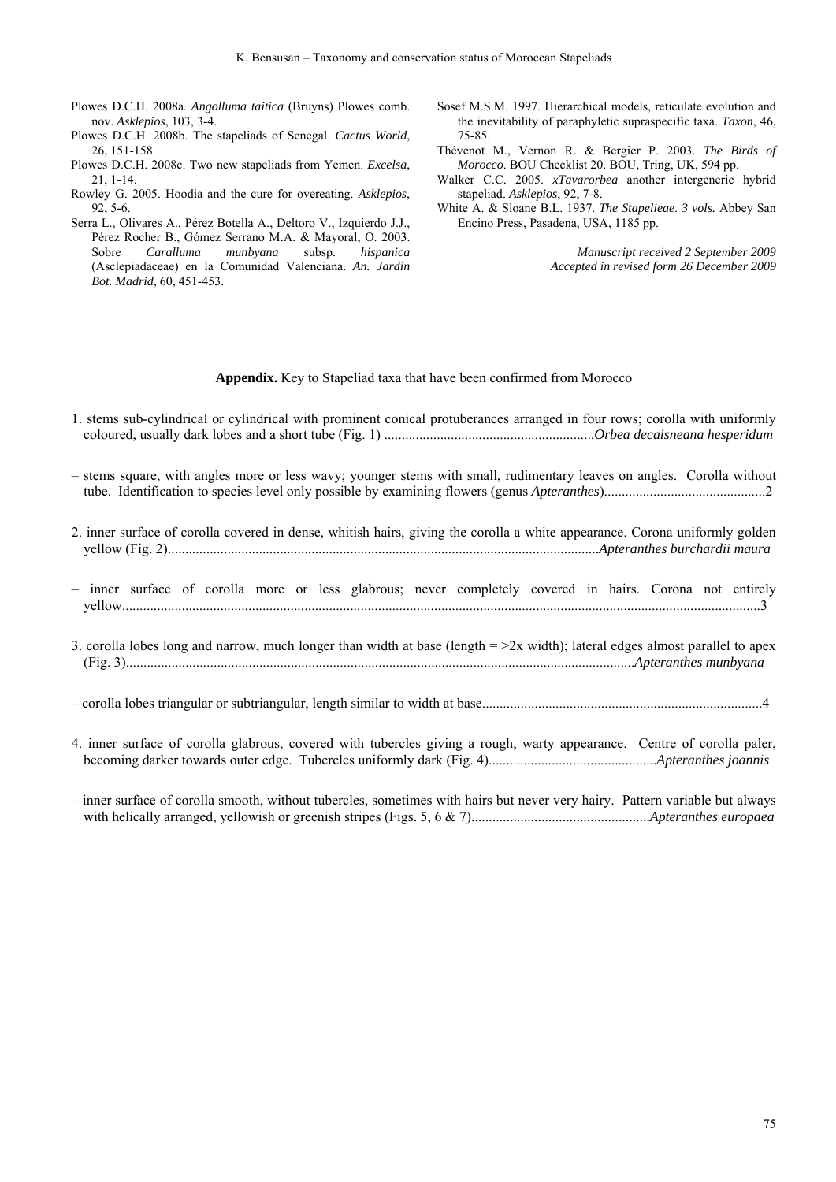- Plowes D.C.H. 2008a. *Angolluma taitica* (Bruyns) Plowes comb. nov. *Asklepios*, 103, 3-4.
- Plowes D.C.H. 2008b. The stapeliads of Senegal. *Cactus World*, 26, 151-158.
- Plowes D.C.H. 2008c. Two new stapeliads from Yemen. *Excelsa*, 21, 1-14.
- Rowley G. 2005. Hoodia and the cure for overeating. *Asklepios*, 92, 5-6.
- Serra L., Olivares A., Pérez Botella A., Deltoro V., Izquierdo J.J., Pérez Rocher B., Gómez Serrano M.A. & Mayoral, O. 2003. Sobre *Caralluma munbyana* subsp. *hispanica* (Asclepiadaceae) en la Comunidad Valenciana. *An. Jardín Bot. Madrid*, 60, 451-453.
- Sosef M.S.M. 1997. Hierarchical models, reticulate evolution and the inevitability of paraphyletic supraspecific taxa. *Taxon*, 46, 75-85.
- Thévenot M., Vernon R. & Bergier P. 2003. *The Birds of Morocco*. BOU Checklist 20. BOU, Tring, UK, 594 pp.
- Walker C.C. 2005. *xTavarorbea* another intergeneric hybrid stapeliad. *Asklepios*, 92, 7-8.
- White A. & Sloane B.L. 1937. *The Stapelieae*. *3 vols.* Abbey San Encino Press, Pasadena, USA, 1185 pp.

*Manuscript received 2 September 2009 Accepted in revised form 26 December 2009* 

## **Appendix.** Key to Stapeliad taxa that have been confirmed from Morocco

- 1. stems sub-cylindrical or cylindrical with prominent conical protuberances arranged in four rows; corolla with uniformly coloured, usually dark lobes and a short tube (Fig. 1) ............................................................*Orbea decaisneana hesperidum*
- stems square, with angles more or less wavy; younger stems with small, rudimentary leaves on angles. Corolla without tube. Identification to species level only possible by examining flowers (genus *Apteranthes*)..............................................2
- 2. inner surface of corolla covered in dense, whitish hairs, giving the corolla a white appearance. Corona uniformly golden yellow (Fig. 2)...........................................................................................................................*Apteranthes burchardii maura*
- inner surface of corolla more or less glabrous; never completely covered in hairs. Corona not entirely yellow......................................................................................................................................................................................3
- 3. corolla lobes long and narrow, much longer than width at base (length  $=$   $\geq$   $\geq$  width); lateral edges almost parallel to apex (Fig. 3).................................................................................................................................................*Apteranthes munbyana*
- corolla lobes triangular or subtriangular, length similar to width at base................................................................................4
- 4. inner surface of corolla glabrous, covered with tubercles giving a rough, warty appearance. Centre of corolla paler, becoming darker towards outer edge. Tubercles uniformly dark (Fig. 4)................................................*Apteranthes joannis*

– inner surface of corolla smooth, without tubercles, sometimes with hairs but never very hairy. Pattern variable but always with helically arranged, yellowish or greenish stripes (Figs. 5, 6 & 7)...................................................*Apteranthes europaea*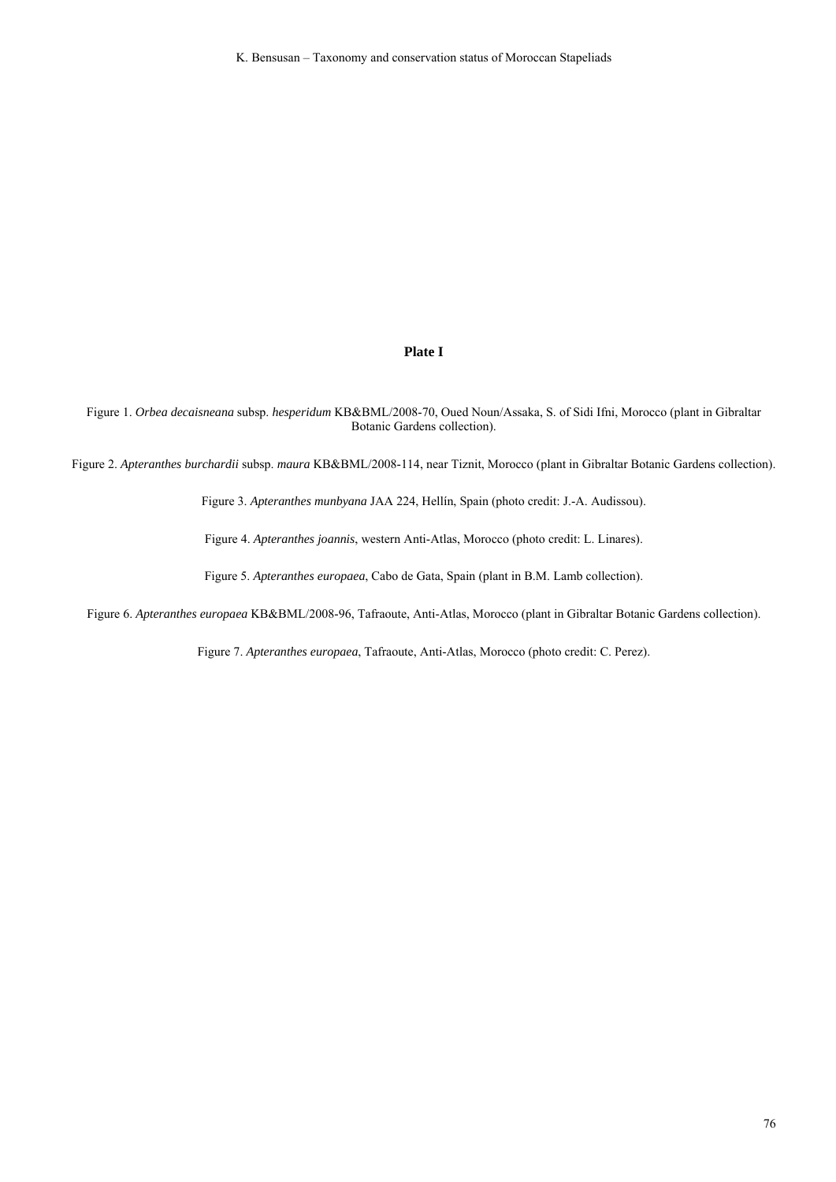## **Plate I**

Figure 1. *Orbea decaisneana* subsp. *hesperidum* KB&BML/2008-70, Oued Noun/Assaka, S. of Sidi Ifni, Morocco (plant in Gibraltar Botanic Gardens collection).

Figure 2. *Apteranthes burchardii* subsp. *maura* KB&BML/2008-114, near Tiznit, Morocco (plant in Gibraltar Botanic Gardens collection).

Figure 3. *Apteranthes munbyana* JAA 224, Hellín, Spain (photo credit: J.-A. Audissou).

Figure 4. *Apteranthes joannis*, western Anti-Atlas, Morocco (photo credit: L. Linares).

Figure 5. *Apteranthes europaea*, Cabo de Gata, Spain (plant in B.M. Lamb collection).

Figure 6. *Apteranthes europaea* KB&BML/2008-96, Tafraoute, Anti-Atlas, Morocco (plant in Gibraltar Botanic Gardens collection).

Figure 7. *Apteranthes europaea*, Tafraoute, Anti-Atlas, Morocco (photo credit: C. Perez).